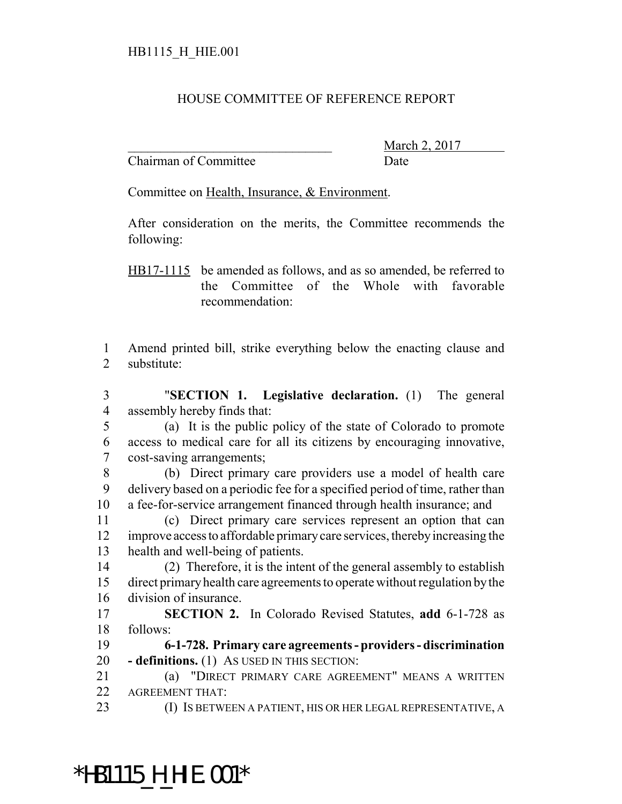## HOUSE COMMITTEE OF REFERENCE REPORT

Chairman of Committee Date

March 2, 2017

Committee on Health, Insurance, & Environment.

After consideration on the merits, the Committee recommends the following:

HB17-1115 be amended as follows, and as so amended, be referred to the Committee of the Whole with favorable recommendation:

 Amend printed bill, strike everything below the enacting clause and substitute:

 "**SECTION 1. Legislative declaration.** (1) The general assembly hereby finds that:

- (a) It is the public policy of the state of Colorado to promote access to medical care for all its citizens by encouraging innovative, cost-saving arrangements;
- (b) Direct primary care providers use a model of health care delivery based on a periodic fee for a specified period of time, rather than a fee-for-service arrangement financed through health insurance; and

 (c) Direct primary care services represent an option that can improve access to affordable primary care services, thereby increasing the health and well-being of patients.

 (2) Therefore, it is the intent of the general assembly to establish direct primary health care agreements to operate without regulation by the division of insurance.

 **SECTION 2.** In Colorado Revised Statutes, **add** 6-1-728 as follows:

 **6-1-728. Primary care agreements - providers - discrimination - definitions.** (1) AS USED IN THIS SECTION:

- (a) "DIRECT PRIMARY CARE AGREEMENT" MEANS A WRITTEN AGREEMENT THAT:
- 

\*HB1115\_H\_HIE.001\*

23 (I) IS BETWEEN A PATIENT, HIS OR HER LEGAL REPRESENTATIVE, A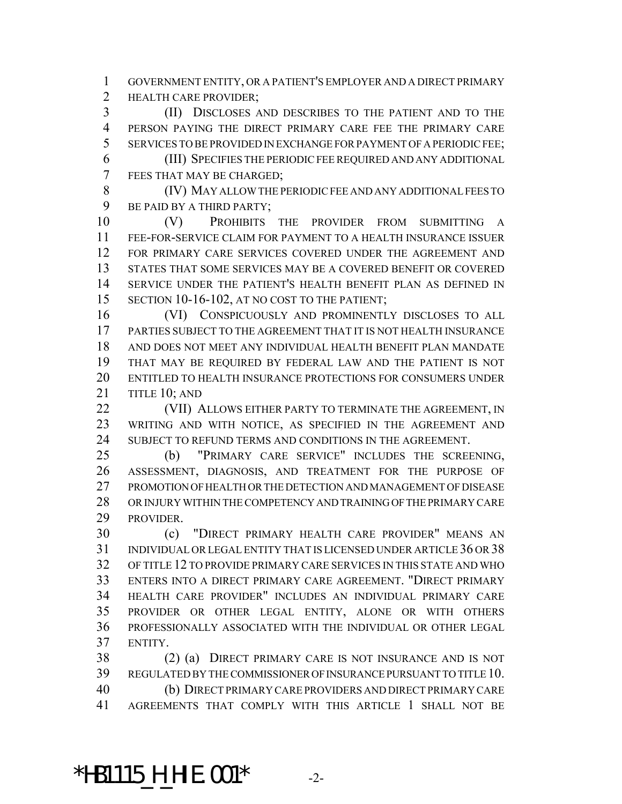GOVERNMENT ENTITY, OR A PATIENT'S EMPLOYER AND A DIRECT PRIMARY **HEALTH CARE PROVIDER:** 

 (II) DISCLOSES AND DESCRIBES TO THE PATIENT AND TO THE PERSON PAYING THE DIRECT PRIMARY CARE FEE THE PRIMARY CARE SERVICES TO BE PROVIDED IN EXCHANGE FOR PAYMENT OF A PERIODIC FEE;

 (III) SPECIFIES THE PERIODIC FEE REQUIRED AND ANY ADDITIONAL FEES THAT MAY BE CHARGED;

 (IV) MAY ALLOW THE PERIODIC FEE AND ANY ADDITIONAL FEES TO BE PAID BY A THIRD PARTY;

 (V) PROHIBITS THE PROVIDER FROM SUBMITTING A FEE-FOR-SERVICE CLAIM FOR PAYMENT TO A HEALTH INSURANCE ISSUER FOR PRIMARY CARE SERVICES COVERED UNDER THE AGREEMENT AND STATES THAT SOME SERVICES MAY BE A COVERED BENEFIT OR COVERED SERVICE UNDER THE PATIENT'S HEALTH BENEFIT PLAN AS DEFINED IN 15 SECTION 10-16-102, AT NO COST TO THE PATIENT;

 (VI) CONSPICUOUSLY AND PROMINENTLY DISCLOSES TO ALL PARTIES SUBJECT TO THE AGREEMENT THAT IT IS NOT HEALTH INSURANCE AND DOES NOT MEET ANY INDIVIDUAL HEALTH BENEFIT PLAN MANDATE THAT MAY BE REQUIRED BY FEDERAL LAW AND THE PATIENT IS NOT ENTITLED TO HEALTH INSURANCE PROTECTIONS FOR CONSUMERS UNDER TITLE 10; AND

**(VII) ALLOWS EITHER PARTY TO TERMINATE THE AGREEMENT, IN**  WRITING AND WITH NOTICE, AS SPECIFIED IN THE AGREEMENT AND 24 SUBJECT TO REFUND TERMS AND CONDITIONS IN THE AGREEMENT.

 (b) "PRIMARY CARE SERVICE" INCLUDES THE SCREENING, ASSESSMENT, DIAGNOSIS, AND TREATMENT FOR THE PURPOSE OF PROMOTION OF HEALTH OR THE DETECTION AND MANAGEMENT OF DISEASE OR INJURY WITHIN THE COMPETENCY AND TRAINING OF THE PRIMARY CARE PROVIDER.

 (c) "DIRECT PRIMARY HEALTH CARE PROVIDER" MEANS AN INDIVIDUAL OR LEGAL ENTITY THAT IS LICENSED UNDER ARTICLE 36 OR 38 OF TITLE 12 TO PROVIDE PRIMARY CARE SERVICES IN THIS STATE AND WHO ENTERS INTO A DIRECT PRIMARY CARE AGREEMENT. "DIRECT PRIMARY HEALTH CARE PROVIDER" INCLUDES AN INDIVIDUAL PRIMARY CARE PROVIDER OR OTHER LEGAL ENTITY, ALONE OR WITH OTHERS PROFESSIONALLY ASSOCIATED WITH THE INDIVIDUAL OR OTHER LEGAL ENTITY.

 (2) (a) DIRECT PRIMARY CARE IS NOT INSURANCE AND IS NOT REGULATED BY THE COMMISSIONER OF INSURANCE PURSUANT TO TITLE 10. (b) DIRECT PRIMARY CARE PROVIDERS AND DIRECT PRIMARY CARE AGREEMENTS THAT COMPLY WITH THIS ARTICLE 1 SHALL NOT BE

\*HB1115\_H\_HIE.001\* -2-